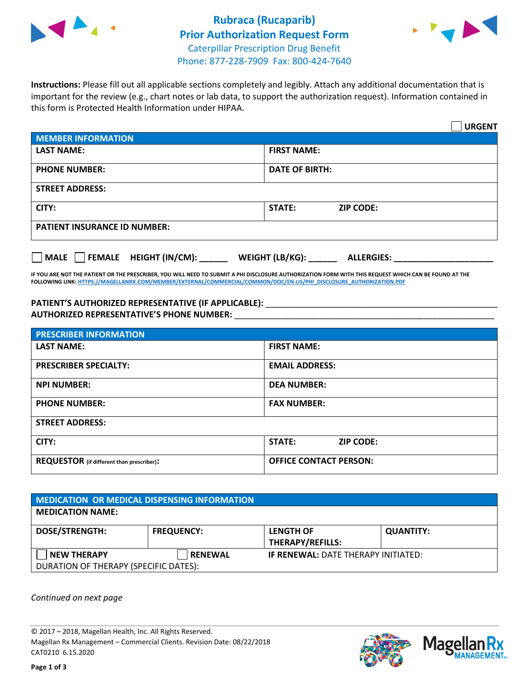



**Instructions:** Please fill out all applicable sections completely and legibly. Attach any additional documentation that is important for the review (e.g., chart notes or lab data, to support the authorization request). Information contained in this form is Protected Health Information under HIPAA.

|                                                | <b>URGENT</b>                        |  |  |  |
|------------------------------------------------|--------------------------------------|--|--|--|
| <b>MEMBER INFORMATION</b>                      |                                      |  |  |  |
| <b>LAST NAME:</b>                              | <b>FIRST NAME:</b>                   |  |  |  |
| <b>PHONE NUMBER:</b>                           | <b>DATE OF BIRTH:</b>                |  |  |  |
| <b>STREET ADDRESS:</b>                         |                                      |  |  |  |
| CITY:                                          | <b>STATE:</b><br><b>ZIP CODE:</b>    |  |  |  |
| <b>PATIENT INSURANCE ID NUMBER:</b>            |                                      |  |  |  |
| $\Box$ FEMALE HEIGHT (IN/CM): _<br><b>MALE</b> | WEIGHT (LB/KG):<br><b>ALLERGIES:</b> |  |  |  |

**IF YOU ARE NOT THE PATIENT OR THE PRESCRIBER, YOU WILL NEED TO SUBMIT A PHI DISCLOSURE AUTHORIZATION FORM WITH THIS REQUEST WHICH CAN BE FOUND AT THE FOLLOWING LINK[: HTTPS://MAGELLANRX.COM/MEMBER/EXTERNAL/COMMERCIAL/COMMON/DOC/EN-US/PHI\\_DISCLOSURE\\_AUTHORIZATION.PDF](https://magellanrx.com/member/external/commercial/common/doc/en-us/PHI_Disclosure_Authorization.pdf)**

PATIENT'S AUTHORIZED REPRESENTATIVE (IF APPLICABLE): \_\_\_\_\_\_\_\_\_\_\_\_\_\_\_\_\_\_\_\_\_\_\_\_\_\_\_ **AUTHORIZED REPRESENTATIVE'S PHONE NUMBER:** \_\_\_\_\_\_\_\_\_\_\_\_\_\_\_\_\_\_\_\_\_\_\_\_\_\_\_\_\_\_\_\_\_\_\_\_\_\_\_\_\_\_\_\_\_\_\_\_\_\_\_\_\_\_\_

| <b>PRESCRIBER INFORMATION</b>             |                               |  |  |  |
|-------------------------------------------|-------------------------------|--|--|--|
| <b>LAST NAME:</b>                         | <b>FIRST NAME:</b>            |  |  |  |
| <b>PRESCRIBER SPECIALTY:</b>              | <b>EMAIL ADDRESS:</b>         |  |  |  |
| <b>NPI NUMBER:</b>                        | <b>DEA NUMBER:</b>            |  |  |  |
| <b>PHONE NUMBER:</b>                      | <b>FAX NUMBER:</b>            |  |  |  |
| <b>STREET ADDRESS:</b>                    |                               |  |  |  |
| CITY:                                     | STATE:<br><b>ZIP CODE:</b>    |  |  |  |
| REQUESTOR (if different than prescriber): | <b>OFFICE CONTACT PERSON:</b> |  |  |  |

| <b>MEDICATION OR MEDICAL DISPENSING INFORMATION</b> |                   |                                            |                  |  |  |
|-----------------------------------------------------|-------------------|--------------------------------------------|------------------|--|--|
| <b>MEDICATION NAME:</b>                             |                   |                                            |                  |  |  |
| <b>DOSE/STRENGTH:</b>                               | <b>FREQUENCY:</b> | <b>LENGTH OF</b>                           | <b>QUANTITY:</b> |  |  |
|                                                     |                   | <b>THERAPY/REFILLS:</b>                    |                  |  |  |
| <b>NEW THERAPY</b>                                  | <b>RENEWAL</b>    | <b>IF RENEWAL: DATE THERAPY INITIATED:</b> |                  |  |  |
| DURATION OF THERAPY (SPECIFIC DATES):               |                   |                                            |                  |  |  |

*Continued on next page*

© 2017 – 2018, Magellan Health, Inc. All Rights Reserved. Magellan Rx Management – Commercial Clients. Revision Date: 08/22/2018 CAT0210 6.15.2020



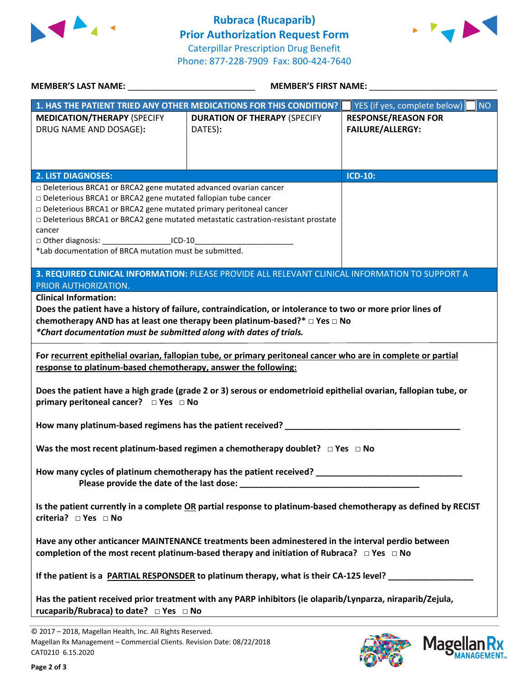



| <b>MEMBER'S LAST NAME:</b> NAME:                                                                                                                                                                          | <b>MEMBER'S FIRST NAME:</b>                                                                                |                                           |  |  |  |
|-----------------------------------------------------------------------------------------------------------------------------------------------------------------------------------------------------------|------------------------------------------------------------------------------------------------------------|-------------------------------------------|--|--|--|
|                                                                                                                                                                                                           | 1. HAS THE PATIENT TRIED ANY OTHER MEDICATIONS FOR THIS CONDITION?                                         | YES (if yes, complete below)<br><b>NO</b> |  |  |  |
| <b>MEDICATION/THERAPY (SPECIFY</b>                                                                                                                                                                        | <b>DURATION OF THERAPY (SPECIFY</b>                                                                        | <b>RESPONSE/REASON FOR</b>                |  |  |  |
| DRUG NAME AND DOSAGE):                                                                                                                                                                                    | DATES):                                                                                                    | <b>FAILURE/ALLERGY:</b>                   |  |  |  |
|                                                                                                                                                                                                           |                                                                                                            |                                           |  |  |  |
|                                                                                                                                                                                                           |                                                                                                            |                                           |  |  |  |
|                                                                                                                                                                                                           |                                                                                                            |                                           |  |  |  |
| <b>2. LIST DIAGNOSES:</b>                                                                                                                                                                                 |                                                                                                            | <b>ICD-10:</b>                            |  |  |  |
| □ Deleterious BRCA1 or BRCA2 gene mutated advanced ovarian cancer                                                                                                                                         |                                                                                                            |                                           |  |  |  |
| □ Deleterious BRCA1 or BRCA2 gene mutated fallopian tube cancer                                                                                                                                           |                                                                                                            |                                           |  |  |  |
| Deleterious BRCA1 or BRCA2 gene mutated primary peritoneal cancer                                                                                                                                         |                                                                                                            |                                           |  |  |  |
|                                                                                                                                                                                                           | Deleterious BRCA1 or BRCA2 gene mutated metastatic castration-resistant prostate                           |                                           |  |  |  |
| cancer                                                                                                                                                                                                    |                                                                                                            |                                           |  |  |  |
| □ Other diagnosis: ______________________ICD-10________________________________                                                                                                                           |                                                                                                            |                                           |  |  |  |
| *Lab documentation of BRCA mutation must be submitted.                                                                                                                                                    |                                                                                                            |                                           |  |  |  |
|                                                                                                                                                                                                           |                                                                                                            |                                           |  |  |  |
|                                                                                                                                                                                                           | 3. REQUIRED CLINICAL INFORMATION: PLEASE PROVIDE ALL RELEVANT CLINICAL INFORMATION TO SUPPORT A            |                                           |  |  |  |
| PRIOR AUTHORIZATION.                                                                                                                                                                                      |                                                                                                            |                                           |  |  |  |
| <b>Clinical Information:</b>                                                                                                                                                                              |                                                                                                            |                                           |  |  |  |
|                                                                                                                                                                                                           | Does the patient have a history of failure, contraindication, or intolerance to two or more prior lines of |                                           |  |  |  |
|                                                                                                                                                                                                           | chemotherapy AND has at least one therapy been platinum-based?* $\Box$ Yes $\Box$ No                       |                                           |  |  |  |
| *Chart documentation must be submitted along with dates of trials.                                                                                                                                        |                                                                                                            |                                           |  |  |  |
| For recurrent epithelial ovarian, fallopian tube, or primary peritoneal cancer who are in complete or partial<br>response to platinum-based chemotherapy, answer the following:                           |                                                                                                            |                                           |  |  |  |
| Does the patient have a high grade (grade 2 or 3) serous or endometrioid epithelial ovarian, fallopian tube, or                                                                                           |                                                                                                            |                                           |  |  |  |
| How many platinum-based regimens has the patient received?<br>The many platinum-based regimens has the patient received?                                                                                  |                                                                                                            |                                           |  |  |  |
| Was the most recent platinum-based regimen a chemotherapy doublet? $\Box$ Yes $\Box$ No                                                                                                                   |                                                                                                            |                                           |  |  |  |
| How many cycles of platinum chemotherapy has the patient received? ________________________________                                                                                                       |                                                                                                            |                                           |  |  |  |
| Is the patient currently in a complete OR partial response to platinum-based chemotherapy as defined by RECIST<br>criteria? □ Yes □ No                                                                    |                                                                                                            |                                           |  |  |  |
| Have any other anticancer MAINTENANCE treatments been adminestered in the interval perdio between<br>completion of the most recent platinum-based therapy and initiation of Rubraca? $\Box$ Yes $\Box$ No |                                                                                                            |                                           |  |  |  |
| If the patient is a PARTIAL RESPONSDER to platinum therapy, what is their CA-125 level?                                                                                                                   |                                                                                                            |                                           |  |  |  |
| Has the patient received prior treatment with any PARP inhibitors (ie olaparib/Lynparza, niraparib/Zejula,<br>rucaparib/Rubraca) to date? □ Yes □ No                                                      |                                                                                                            |                                           |  |  |  |

© 2017 – 2018, Magellan Health, Inc. All Rights Reserved. Magellan Rx Management – Commercial Clients. Revision Date: 08/22/2018 CAT0210 6.15.2020



**Magella** 

**IANAGEMENT**<sub>SM</sub>